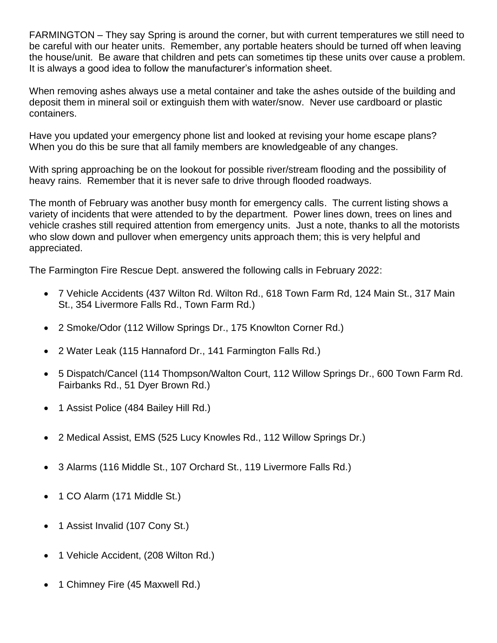FARMINGTON – They say Spring is around the corner, but with current temperatures we still need to be careful with our heater units. Remember, any portable heaters should be turned off when leaving the house/unit. Be aware that children and pets can sometimes tip these units over cause a problem. It is always a good idea to follow the manufacturer's information sheet.

When removing ashes always use a metal container and take the ashes outside of the building and deposit them in mineral soil or extinguish them with water/snow. Never use cardboard or plastic containers.

Have you updated your emergency phone list and looked at revising your home escape plans? When you do this be sure that all family members are knowledgeable of any changes.

With spring approaching be on the lookout for possible river/stream flooding and the possibility of heavy rains. Remember that it is never safe to drive through flooded roadways.

The month of February was another busy month for emergency calls. The current listing shows a variety of incidents that were attended to by the department. Power lines down, trees on lines and vehicle crashes still required attention from emergency units. Just a note, thanks to all the motorists who slow down and pullover when emergency units approach them; this is very helpful and appreciated.

The Farmington Fire Rescue Dept. answered the following calls in February 2022:

- 7 Vehicle Accidents (437 Wilton Rd. Wilton Rd., 618 Town Farm Rd, 124 Main St., 317 Main St., 354 Livermore Falls Rd., Town Farm Rd.)
- 2 Smoke/Odor (112 Willow Springs Dr., 175 Knowlton Corner Rd.)
- 2 Water Leak (115 Hannaford Dr., 141 Farmington Falls Rd.)
- 5 Dispatch/Cancel (114 Thompson/Walton Court, 112 Willow Springs Dr., 600 Town Farm Rd. Fairbanks Rd., 51 Dyer Brown Rd.)
- 1 Assist Police (484 Bailey Hill Rd.)
- 2 Medical Assist, EMS (525 Lucy Knowles Rd., 112 Willow Springs Dr.)
- 3 Alarms (116 Middle St., 107 Orchard St., 119 Livermore Falls Rd.)
- 1 CO Alarm (171 Middle St.)
- 1 Assist Invalid (107 Cony St.)
- 1 Vehicle Accident, (208 Wilton Rd.)
- 1 Chimney Fire (45 Maxwell Rd.)